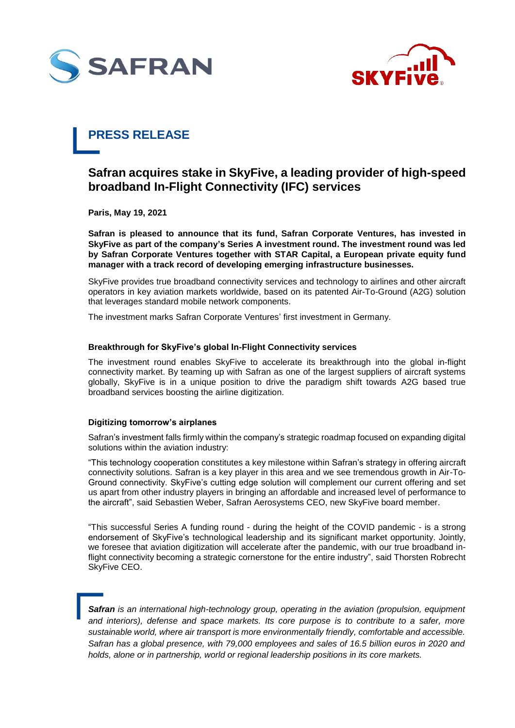



# **PRESS RELEASE**

# **Safran acquires stake in SkyFive, a leading provider of high-speed broadband In-Flight Connectivity (IFC) services**

**Paris, May 19, 2021**

**Safran is pleased to announce that its fund, Safran Corporate Ventures, has invested in SkyFive as part of the company's Series A investment round. The investment round was led by Safran Corporate Ventures together with STAR Capital, a European private equity fund manager with a track record of developing emerging infrastructure businesses.**

SkyFive provides true broadband connectivity services and technology to airlines and other aircraft operators in key aviation markets worldwide, based on its patented Air-To-Ground (A2G) solution that leverages standard mobile network components.

The investment marks Safran Corporate Ventures' first investment in Germany.

## **Breakthrough for SkyFive's global In-Flight Connectivity services**

The investment round enables SkyFive to accelerate its breakthrough into the global in-flight connectivity market. By teaming up with Safran as one of the largest suppliers of aircraft systems globally, SkyFive is in a unique position to drive the paradigm shift towards A2G based true broadband services boosting the airline digitization.

# **Digitizing tomorrow's airplanes**

Safran's investment falls firmly within the company's strategic roadmap focused on expanding digital solutions within the aviation industry:

"This technology cooperation constitutes a key milestone within Safran's strategy in offering aircraft connectivity solutions. Safran is a key player in this area and we see tremendous growth in Air-To-Ground connectivity. SkyFive's cutting edge solution will complement our current offering and set us apart from other industry players in bringing an affordable and increased level of performance to the aircraft", said Sebastien Weber, Safran Aerosystems CEO, new SkyFive board member.

"This successful Series A funding round - during the height of the COVID pandemic - is a strong endorsement of SkyFive's technological leadership and its significant market opportunity. Jointly, we foresee that aviation digitization will accelerate after the pandemic, with our true broadband inflight connectivity becoming a strategic cornerstone for the entire industry", said Thorsten Robrecht SkyFive CEO.

*Safran is an international high-technology group, operating in the aviation (propulsion, equipment and interiors), defense and space markets. Its core purpose is to contribute to a safer, more sustainable world, where air transport is more environmentally friendly, comfortable and accessible. Safran has a global presence, with 79,000 employees and sales of 16.5 billion euros in 2020 and holds, alone or in partnership, world or regional leadership positions in its core markets.*